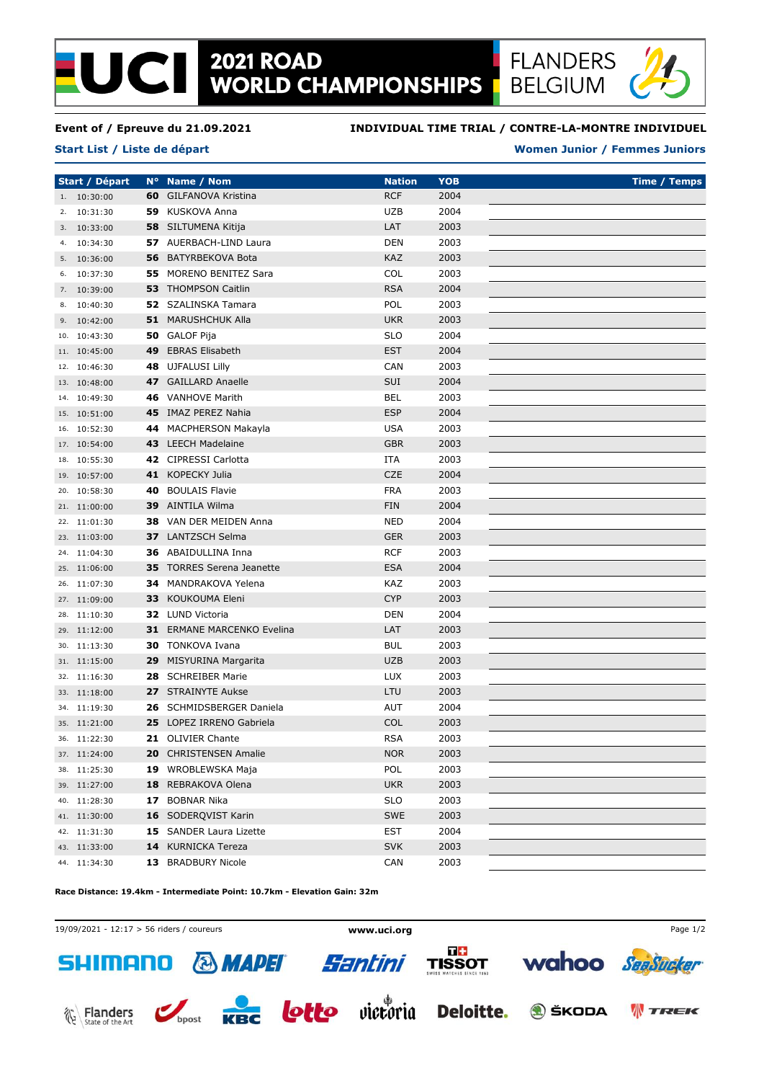# **2021 ROAD<br>WORLD CHAMPIONSHIPS**



#### **Event of / Epreuve du 21.09.2021**

**Start List / Liste de départ**

### **INDIVIDUAL TIME TRIAL / CONTRE-LA-MONTRE INDIVIDUEL**

### **Women Junior / Femmes Juniors**

**Start / Départ N° Name / Nom Nation Time / Temps YOB** 1. 10:30:00 **60** GILFANOVA Kristina RCF 2004 2. 10:31:30 **59** KUSKOVA Anna UZB 2004 3. 10:33:00 **58** SILTUMENA Kitija LAT 2003 4. 10:34:30 **57** AUERBACH-LIND Laura **DEN** 2003 5. 10:36:00 **56** BATYRBEKOVA Bota KAZ 2003 6. 10:37:30 **55** MORENO BENITEZ Sara COL 2003 7. 10:39:00 **53** THOMPSON Caitlin RSA 2004 8. 10:40:30 **52** SZALINSKA Tamara POL 2003 9. 10:42:00 **51** MARUSHCHUK Alla UKR 2003 10. 10:43:30 **50** GALOF Pija **SLO** SLO 2004 11. 10:45:00 **49** EBRAS Elisabeth EST 2004 12. 10:46:30 **48** UJFALUSI Lilly CAN 2003 13. 10:48:00 **47** GAILLARD Anaelle SUI 2004 14. 10:49:30 **46** VANHOVE Marith BEL 2003 15. 10:51:00 **45** IMAZ PEREZ Nahia **ESP** 2004 16. 10:52:30 **44** MACPHERSON Makayla **USA** USA 2003 17. 10:54:00 **43** LEECH Madelaine GBR 2003 18. 10:55:30 **42** CIPRESSI Carlotta **ITA** 2003 19. 10:57:00 **41** KOPECKY Julia CZE 2004 20. 10:58:30 **40** BOULAIS Flavie FRA 2003 21. 11:00:00 **39** AINTILA Wilma FIN 2004 22. 11:01:30 **38** VAN DER MEIDEN Anna NED 2004 23. 11:03:00 **37** LANTZSCH Selma GER 2003 24. 11:04:30 **36** ABAIDULLINA Inna RCF 2003 25. 11:06:00 **35** TORRES Serena Jeanette ESA 2004 26. 11:07:30 **34** MANDRAKOVA Yelena KAZ 2003 27. 11:09:00 **33** KOUKOUMA Eleni CYP 2003 28. 11:10:30 **32** LUND Victoria DEN 2004 29. 11:12:00 **31** ERMANE MARCENKO Evelina LAT 2003 30. 11:13:30 **30** TONKOVA Ivana BUL 2003 31. 11:15:00 **29** MISYURINA Margarita UZB 2003 32. 11:16:30 **28** SCHREIBER Marie LUX 2003 33. 11:18:00 **27** STRAINYTE Aukse LTU 2003 34. 11:19:30 **26** SCHMIDSBERGER Daniela AUT 2004 35. 11:21:00 **25** LOPEZ IRRENO Gabriela COL 2003 36. 11:22:30 **21** OLIVIER Chante RSA 2003 37. 11:24:00 **20** CHRISTENSEN Amalie NOR 2003 38. 11:25:30 **19** WROBLEWSKA Maja POL 2003 39. 11:27:00 **18** REBRAKOVA Olena UKR 2003 40. 11:28:30 **17** BOBNAR Nika SLO 2003 41. 11:30:00 **16** SODEROVIST Karin SWE 2003 42. 11:31:30 **15** SANDER Laura Lizette **EST** 2004 43. 11:33:00 **14** KURNICKA Tereza SVK 2003 44. 11:34:30 **13** BRADBURY Nicole CAN 2003

**Race Distance: 19.4km - Intermediate Point: 10.7km - Elevation Gain: 32m**